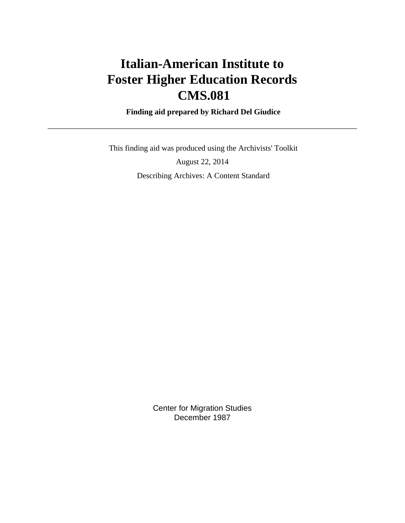# **Italian-American Institute to Foster Higher Education Records CMS.081**

 **Finding aid prepared by Richard Del Giudice**

 This finding aid was produced using the Archivists' Toolkit August 22, 2014 Describing Archives: A Content Standard

> Center for Migration Studies December 1987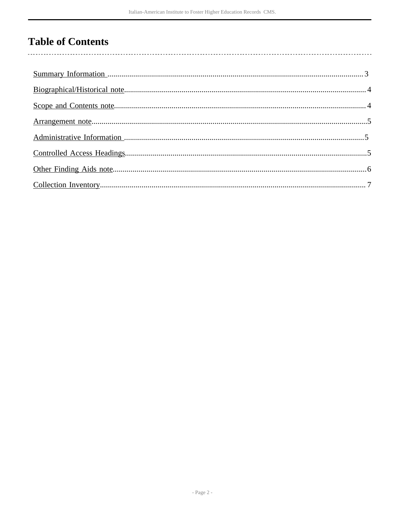# **Table of Contents**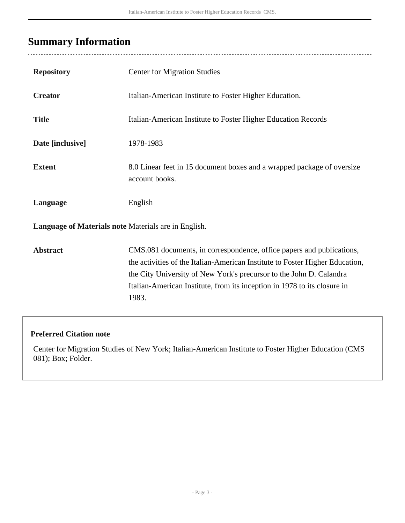## <span id="page-2-0"></span>**Summary Information**

| <b>Repository</b>                                    | <b>Center for Migration Studies</b>                                                                                                                                                                                                                                                                               |
|------------------------------------------------------|-------------------------------------------------------------------------------------------------------------------------------------------------------------------------------------------------------------------------------------------------------------------------------------------------------------------|
| <b>Creator</b>                                       | Italian-American Institute to Foster Higher Education.                                                                                                                                                                                                                                                            |
| <b>Title</b>                                         | Italian-American Institute to Foster Higher Education Records                                                                                                                                                                                                                                                     |
| Date [inclusive]                                     | 1978-1983                                                                                                                                                                                                                                                                                                         |
| <b>Extent</b>                                        | 8.0 Linear feet in 15 document boxes and a wrapped package of oversize<br>account books.                                                                                                                                                                                                                          |
| Language                                             | English                                                                                                                                                                                                                                                                                                           |
| Language of Materials note Materials are in English. |                                                                                                                                                                                                                                                                                                                   |
| <b>Abstract</b>                                      | CMS.081 documents, in correspondence, office papers and publications,<br>the activities of the Italian-American Institute to Foster Higher Education,<br>the City University of New York's precursor to the John D. Calandra<br>Italian-American Institute, from its inception in 1978 to its closure in<br>1983. |

## **Preferred Citation note**

Center for Migration Studies of New York; Italian-American Institute to Foster Higher Education (CMS 081); Box; Folder.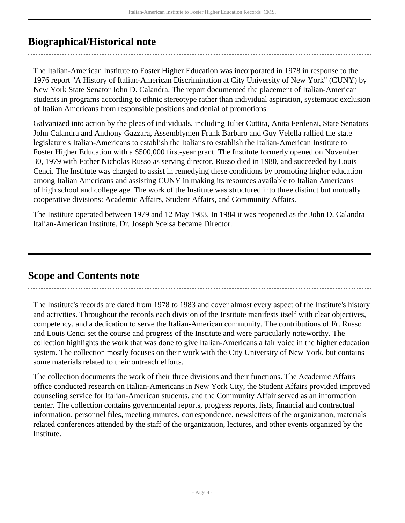## <span id="page-3-0"></span>**Biographical/Historical note**

The Italian-American Institute to Foster Higher Education was incorporated in 1978 in response to the 1976 report "A History of Italian-American Discrimination at City University of New York" (CUNY) by New York State Senator John D. Calandra. The report documented the placement of Italian-American students in programs according to ethnic stereotype rather than individual aspiration, systematic exclusion of Italian Americans from responsible positions and denial of promotions.

Galvanized into action by the pleas of individuals, including Juliet Cuttita, Anita Ferdenzi, State Senators John Calandra and Anthony Gazzara, Assemblymen Frank Barbaro and Guy Velella rallied the state legislature's Italian-Americans to establish the Italians to establish the Italian-American Institute to Foster Higher Education with a \$500,000 first-year grant. The Institute formerly opened on November 30, 1979 with Father Nicholas Russo as serving director. Russo died in 1980, and succeeded by Louis Cenci. The Institute was charged to assist in remedying these conditions by promoting higher education among Italian Americans and assisting CUNY in making its resources available to Italian Americans of high school and college age. The work of the Institute was structured into three distinct but mutually cooperative divisions: Academic Affairs, Student Affairs, and Community Affairs.

The Institute operated between 1979 and 12 May 1983. In 1984 it was reopened as the John D. Calandra Italian-American Institute. Dr. Joseph Scelsa became Director.

## <span id="page-3-1"></span>**Scope and Contents note**

The Institute's records are dated from 1978 to 1983 and cover almost every aspect of the Institute's history and activities. Throughout the records each division of the Institute manifests itself with clear objectives, competency, and a dedication to serve the Italian-American community. The contributions of Fr. Russo and Louis Cenci set the course and progress of the Institute and were particularly noteworthy. The collection highlights the work that was done to give Italian-Americans a fair voice in the higher education system. The collection mostly focuses on their work with the City University of New York, but contains some materials related to their outreach efforts.

The collection documents the work of their three divisions and their functions. The Academic Affairs office conducted research on Italian-Americans in New York City, the Student Affairs provided improved counseling service for Italian-American students, and the Community Affair served as an information center. The collection contains governmental reports, progress reports, lists, financial and contractual information, personnel files, meeting minutes, correspondence, newsletters of the organization, materials related conferences attended by the staff of the organization, lectures, and other events organized by the Institute.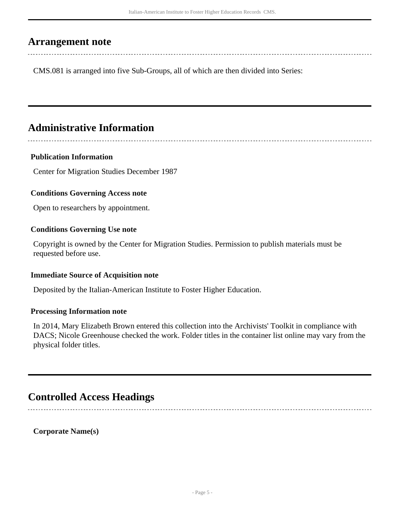## <span id="page-4-0"></span>**Arrangement note**

CMS.081 is arranged into five Sub-Groups, all of which are then divided into Series:

## <span id="page-4-1"></span>**Administrative Information**

## **Publication Information**

Center for Migration Studies December 1987

## **Conditions Governing Access note**

Open to researchers by appointment.

## **Conditions Governing Use note**

Copyright is owned by the Center for Migration Studies. Permission to publish materials must be requested before use.

## **Immediate Source of Acquisition note**

Deposited by the Italian-American Institute to Foster Higher Education.

## **Processing Information note**

In 2014, Mary Elizabeth Brown entered this collection into the Archivists' Toolkit in compliance with DACS; Nicole Greenhouse checked the work. Folder titles in the container list online may vary from the physical folder titles.

## <span id="page-4-2"></span>**Controlled Access Headings**

**Corporate Name(s)**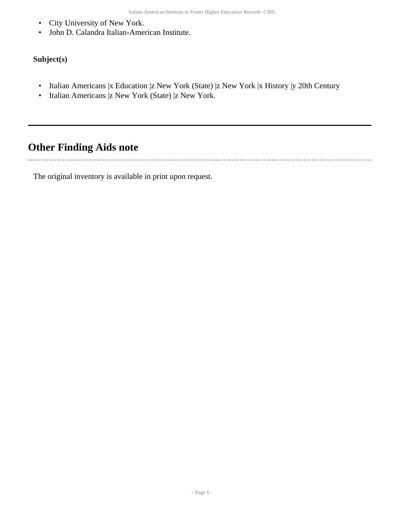- City University of New York.
- John D. Calandra Italian-American Institute.

## **Subject(s)**

- Italian Americans |x Education |z New York (State) |z New York |x History |y 20th Century
- Italian Americans |z New York (State) |z New York.

## <span id="page-5-0"></span>**Other Finding Aids note**

The original inventory is available in print upon request.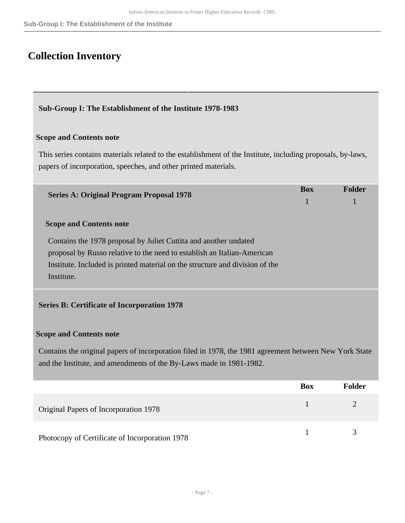## <span id="page-6-0"></span>**Collection Inventory**

## **Sub-Group I: The Establishment of the Institute 1978-1983**

## **Scope and Contents note**

This series contains materials related to the establishment of the Institute, including proposals, by-laws, papers of incorporation, speeches, and other printed materials.

| <b>Series A: Original Program Proposal 1978</b>                              | <b>Box</b> | <b>Folder</b> |
|------------------------------------------------------------------------------|------------|---------------|
| <b>Scope and Contents note</b>                                               |            |               |
| Contains the 1978 proposal by Juliet Cuttita and another undated             |            |               |
| proposal by Russo relative to the need to establish an Italian-American      |            |               |
| Institute. Included is printed material on the structure and division of the |            |               |
| Institute.                                                                   |            |               |
|                                                                              |            |               |
| <b>Series B: Certificate of Incorporation 1978</b>                           |            |               |

## **Scope and Contents note**

Contains the original papers of incorporation filed in 1978, the 1981 agreement between New York State and the Institute, and amendments of the By-Laws made in 1981-1982.

|                                                | <b>Box</b> | <b>Folder</b> |
|------------------------------------------------|------------|---------------|
| Original Papers of Incorporation 1978          |            |               |
| Photocopy of Certificate of Incorporation 1978 |            |               |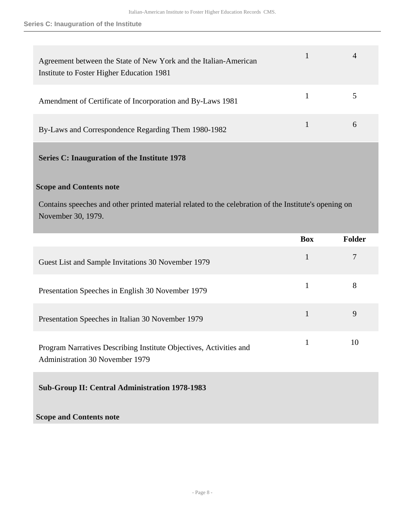| Agreement between the State of New York and the Italian-American<br>Institute to Foster Higher Education 1981 |  |
|---------------------------------------------------------------------------------------------------------------|--|
| Amendment of Certificate of Incorporation and By-Laws 1981                                                    |  |
| By-Laws and Correspondence Regarding Them 1980-1982                                                           |  |

## **Series C: Inauguration of the Institute 1978**

## **Scope and Contents note**

Contains speeches and other printed material related to the celebration of the Institute's opening on November 30, 1979.

|                                                                                                              | <b>Box</b>   | <b>Folder</b> |
|--------------------------------------------------------------------------------------------------------------|--------------|---------------|
| Guest List and Sample Invitations 30 November 1979                                                           | $\mathbf{1}$ | 7             |
| Presentation Speeches in English 30 November 1979                                                            | $\mathbf{1}$ | 8             |
| Presentation Speeches in Italian 30 November 1979                                                            | $\mathbf{1}$ | 9             |
| Program Narratives Describing Institute Objectives, Activities and<br><b>Administration 30 November 1979</b> | $\mathbf{1}$ | 10            |
| <b>Sub-Group II: Central Administration 1978-1983</b>                                                        |              |               |
| <b>Scope and Contents note</b>                                                                               |              |               |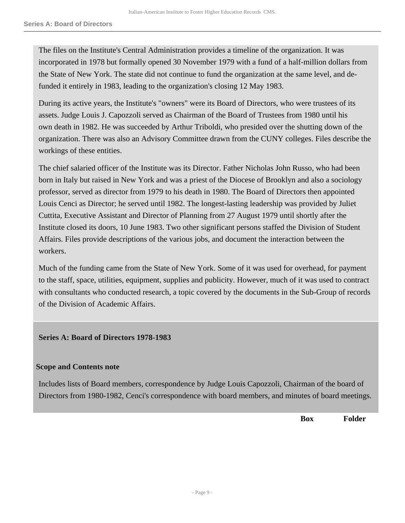The files on the Institute's Central Administration provides a timeline of the organization. It was incorporated in 1978 but formally opened 30 November 1979 with a fund of a half-million dollars from the State of New York. The state did not continue to fund the organization at the same level, and defunded it entirely in 1983, leading to the organization's closing 12 May 1983.

During its active years, the Institute's "owners" were its Board of Directors, who were trustees of its assets. Judge Louis J. Capozzoli served as Chairman of the Board of Trustees from 1980 until his own death in 1982. He was succeeded by Arthur Triboldi, who presided over the shutting down of the organization. There was also an Advisory Committee drawn from the CUNY colleges. Files describe the workings of these entities.

The chief salaried officer of the Institute was its Director. Father Nicholas John Russo, who had been born in Italy but raised in New York and was a priest of the Diocese of Brooklyn and also a sociology professor, served as director from 1979 to his death in 1980. The Board of Directors then appointed Louis Cenci as Director; he served until 1982. The longest-lasting leadership was provided by Juliet Cuttita, Executive Assistant and Director of Planning from 27 August 1979 until shortly after the Institute closed its doors, 10 June 1983. Two other significant persons staffed the Division of Student Affairs. Files provide descriptions of the various jobs, and document the interaction between the workers.

Much of the funding came from the State of New York. Some of it was used for overhead, for payment to the staff, space, utilities, equipment, supplies and publicity. However, much of it was used to contract with consultants who conducted research, a topic covered by the documents in the Sub-Group of records of the Division of Academic Affairs.

## **Series A: Board of Directors 1978-1983**

#### **Scope and Contents note**

Includes lists of Board members, correspondence by Judge Louis Capozzoli, Chairman of the board of Directors from 1980-1982, Cenci's correspondence with board members, and minutes of board meetings.

**Box Folder**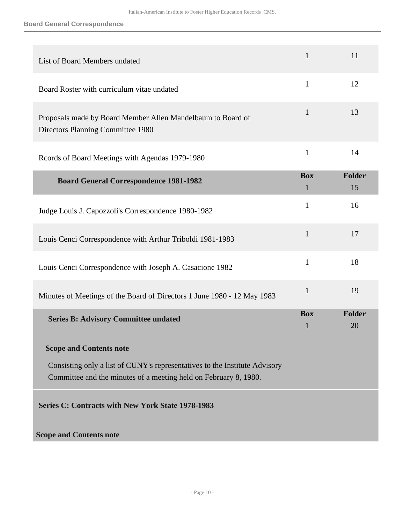## **Board General Correspondence**

| List of Board Members undated                                                                                                                  | $\mathbf{1}$               | 11           |
|------------------------------------------------------------------------------------------------------------------------------------------------|----------------------------|--------------|
| Board Roster with curriculum vitae undated                                                                                                     | $\mathbf{1}$               | 12           |
| Proposals made by Board Member Allen Mandelbaum to Board of<br>Directors Planning Committee 1980                                               | 1                          | 13           |
| Records of Board Meetings with Agendas 1979-1980                                                                                               | $\mathbf{1}$               | 14           |
| <b>Board General Correspondence 1981-1982</b>                                                                                                  | <b>Box</b><br>$\mathbf{1}$ | Folder<br>15 |
| Judge Louis J. Capozzoli's Correspondence 1980-1982                                                                                            | 1                          | 16           |
| Louis Cenci Correspondence with Arthur Triboldi 1981-1983                                                                                      | $\mathbf{1}$               | 17           |
| Louis Cenci Correspondence with Joseph A. Casacione 1982                                                                                       | $\mathbf{1}$               | 18           |
| Minutes of Meetings of the Board of Directors 1 June 1980 - 12 May 1983                                                                        | $\mathbf{1}$               | 19           |
| <b>Series B: Advisory Committee undated</b>                                                                                                    | <b>Box</b><br>$\mathbf{1}$ | Folder<br>20 |
| <b>Scope and Contents note</b>                                                                                                                 |                            |              |
| Consisting only a list of CUNY's representatives to the Institute Advisory<br>Committee and the minutes of a meeting held on February 8, 1980. |                            |              |
| Series C: Contracts with New York State 1978-1983                                                                                              |                            |              |
| <b>Scope and Contents note</b>                                                                                                                 |                            |              |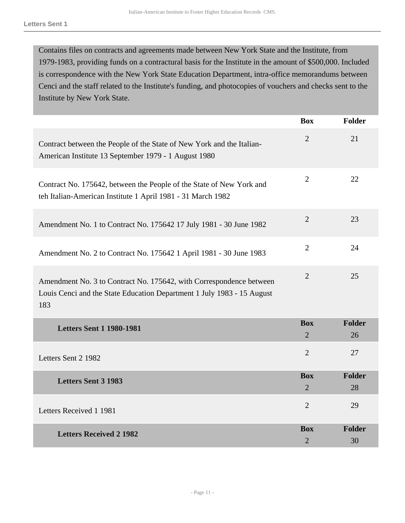Contains files on contracts and agreements made between New York State and the Institute, from 1979-1983, providing funds on a contractural basis for the Institute in the amount of \$500,000. Included is correspondence with the New York State Education Department, intra-office memorandums between Cenci and the staff related to the Institute's funding, and photocopies of vouchers and checks sent to the Institute by New York State.

|                                                                                                                                                      | <b>Box</b>                   | <b>Folder</b>       |
|------------------------------------------------------------------------------------------------------------------------------------------------------|------------------------------|---------------------|
| Contract between the People of the State of New York and the Italian-<br>American Institute 13 September 1979 - 1 August 1980                        | $\overline{2}$               | 21                  |
| Contract No. 175642, between the People of the State of New York and<br>teh Italian-American Institute 1 April 1981 - 31 March 1982                  | $\overline{2}$               | 22                  |
| Amendment No. 1 to Contract No. 175642 17 July 1981 - 30 June 1982                                                                                   | $\overline{2}$               | 23                  |
| Amendment No. 2 to Contract No. 175642 1 April 1981 - 30 June 1983                                                                                   | $\overline{2}$               | 24                  |
| Amendment No. 3 to Contract No. 175642, with Correspondence between<br>Louis Cenci and the State Education Department 1 July 1983 - 15 August<br>183 | $\overline{2}$               | 25                  |
| <b>Letters Sent 1 1980-1981</b>                                                                                                                      | <b>Box</b><br>$\overline{2}$ | <b>Folder</b><br>26 |
| Letters Sent 2 1982                                                                                                                                  | $\overline{2}$               | 27                  |
| <b>Letters Sent 3 1983</b>                                                                                                                           | <b>Box</b><br>$\overline{2}$ | <b>Folder</b><br>28 |
| Letters Received 1 1981                                                                                                                              | $\overline{2}$               | 29                  |
| <b>Letters Received 2 1982</b>                                                                                                                       | <b>Box</b><br>$\overline{2}$ | <b>Folder</b><br>30 |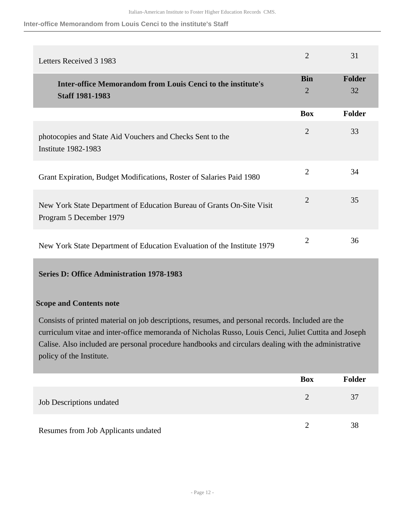**Inter-office Memorandom from Louis Cenci to the institute's Staff**

| Letters Received 3 1983                                                                          | $\overline{2}$               | 31                  |
|--------------------------------------------------------------------------------------------------|------------------------------|---------------------|
| <b>Inter-office Memorandom from Louis Cenci to the institute's</b><br><b>Staff 1981-1983</b>     | <b>Bin</b><br>$\overline{2}$ | <b>Folder</b><br>32 |
|                                                                                                  | <b>Box</b>                   | <b>Folder</b>       |
| photocopies and State Aid Vouchers and Checks Sent to the<br><b>Institute 1982-1983</b>          | $\overline{2}$               | 33                  |
| Grant Expiration, Budget Modifications, Roster of Salaries Paid 1980                             | $\overline{2}$               | 34                  |
| New York State Department of Education Bureau of Grants On-Site Visit<br>Program 5 December 1979 | $\overline{2}$               | 35                  |
| New York State Department of Education Evaluation of the Institute 1979                          | 2                            | 36                  |

## **Series D: Office Administration 1978-1983**

## **Scope and Contents note**

Consists of printed material on job descriptions, resumes, and personal records. Included are the curriculum vitae and inter-office memoranda of Nicholas Russo, Louis Cenci, Juliet Cuttita and Joseph Calise. Also included are personal procedure handbooks and circulars dealing with the administrative policy of the Institute.

|                                     | <b>Box</b> | <b>Folder</b> |
|-------------------------------------|------------|---------------|
| <b>Job Descriptions undated</b>     |            | 37            |
| Resumes from Job Applicants undated |            | 38            |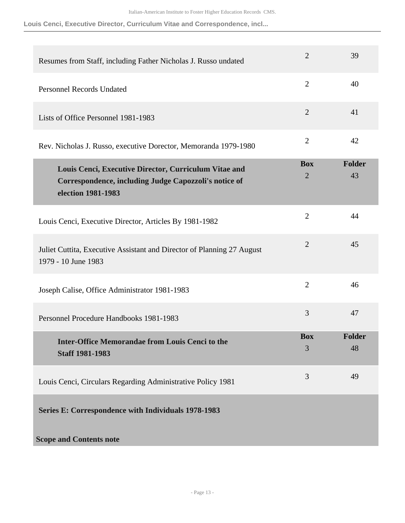**Louis Cenci, Executive Director, Curriculum Vitae and Correspondence, incl...**

| Resumes from Staff, including Father Nicholas J. Russo undated                                                                       | $\overline{2}$               | 39                  |
|--------------------------------------------------------------------------------------------------------------------------------------|------------------------------|---------------------|
| <b>Personnel Records Undated</b>                                                                                                     | $\overline{2}$               | 40                  |
| Lists of Office Personnel 1981-1983                                                                                                  | $\overline{2}$               | 41                  |
| Rev. Nicholas J. Russo, executive Dorector, Memoranda 1979-1980                                                                      | $\overline{2}$               | 42                  |
| Louis Cenci, Executive Director, Curriculum Vitae and<br>Correspondence, including Judge Capozzoli's notice of<br>election 1981-1983 | <b>Box</b><br>$\overline{2}$ | Folder<br>43        |
| Louis Cenci, Executive Director, Articles By 1981-1982                                                                               | $\overline{2}$               | 44                  |
| Juliet Cuttita, Executive Assistant and Director of Planning 27 August<br>1979 - 10 June 1983                                        | $\overline{2}$               | 45                  |
| Joseph Calise, Office Administrator 1981-1983                                                                                        | $\overline{2}$               | 46                  |
| Personnel Procedure Handbooks 1981-1983                                                                                              | 3                            | 47                  |
| <b>Inter-Office Memorandae from Louis Cenci to the</b><br><b>Staff 1981-1983</b>                                                     | <b>Box</b><br>3              | <b>Folder</b><br>48 |
| Louis Cenci, Circulars Regarding Administrative Policy 1981                                                                          | 3                            | 49                  |
| Series E: Correspondence with Individuals 1978-1983                                                                                  |                              |                     |
| <b>Scope and Contents note</b>                                                                                                       |                              |                     |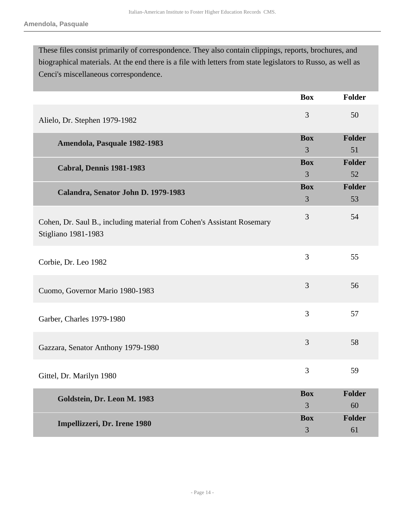These files consist primarily of correspondence. They also contain clippings, reports, brochures, and biographical materials. At the end there is a file with letters from state legislators to Russo, as well as Cenci's miscellaneous correspondence.

|                                                                                               | <b>Box</b> | Folder        |
|-----------------------------------------------------------------------------------------------|------------|---------------|
| Alielo, Dr. Stephen 1979-1982                                                                 | 3          | 50            |
| Amendola, Pasquale 1982-1983                                                                  | <b>Box</b> | Folder        |
|                                                                                               | 3          | 51            |
| <b>Cabral, Dennis 1981-1983</b>                                                               | <b>Box</b> | Folder        |
|                                                                                               | 3          | 52            |
| Calandra, Senator John D. 1979-1983                                                           | <b>Box</b> | <b>Folder</b> |
|                                                                                               | 3          | 53            |
| Cohen, Dr. Saul B., including material from Cohen's Assistant Rosemary<br>Stigliano 1981-1983 | 3          | 54            |
| Corbie, Dr. Leo 1982                                                                          | 3          | 55            |
| Cuomo, Governor Mario 1980-1983                                                               | 3          | 56            |
| Garber, Charles 1979-1980                                                                     | 3          | 57            |
| Gazzara, Senator Anthony 1979-1980                                                            | 3          | 58            |
| Gittel, Dr. Marilyn 1980                                                                      | 3          | 59            |
| Goldstein, Dr. Leon M. 1983                                                                   | <b>Box</b> | <b>Folder</b> |
|                                                                                               | 3          | 60            |
| Impellizzeri, Dr. Irene 1980                                                                  | <b>Box</b> | <b>Folder</b> |
|                                                                                               | 3          | 61            |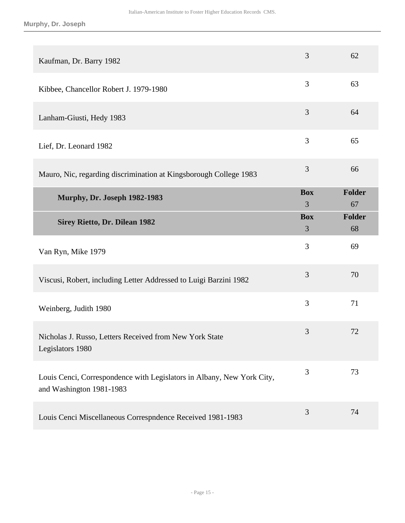| Kaufman, Dr. Barry 1982                                                                            | 3               | 62                  |
|----------------------------------------------------------------------------------------------------|-----------------|---------------------|
| Kibbee, Chancellor Robert J. 1979-1980                                                             | 3               | 63                  |
| Lanham-Giusti, Hedy 1983                                                                           | 3               | 64                  |
| Lief, Dr. Leonard 1982                                                                             | 3               | 65                  |
| Mauro, Nic, regarding discrimination at Kingsborough College 1983                                  | 3               | 66                  |
| <b>Murphy, Dr. Joseph 1982-1983</b>                                                                | <b>Box</b><br>3 | <b>Folder</b><br>67 |
| <b>Sirey Rietto, Dr. Dilean 1982</b>                                                               | <b>Box</b><br>3 | <b>Folder</b><br>68 |
|                                                                                                    |                 |                     |
| Van Ryn, Mike 1979                                                                                 | 3               | 69                  |
| Viscusi, Robert, including Letter Addressed to Luigi Barzini 1982                                  | 3               | 70                  |
| Weinberg, Judith 1980                                                                              | 3               | 71                  |
| Nicholas J. Russo, Letters Received from New York State<br>Legislators 1980                        | 3               | 72                  |
| Louis Cenci, Correspondence with Legislators in Albany, New York City,<br>and Washington 1981-1983 | 3               | 73                  |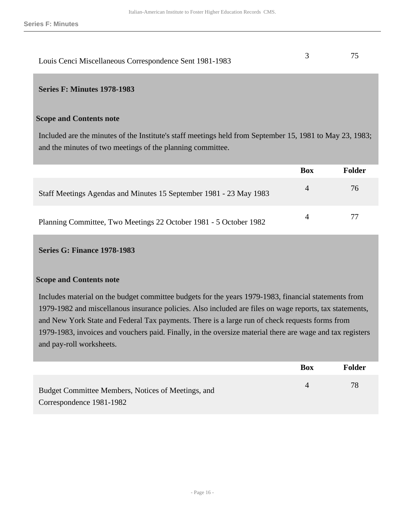| Louis Cenci Miscellaneous Correspondence Sent 1981-1983 |  |
|---------------------------------------------------------|--|

### **Series F: Minutes 1978-1983**

#### **Scope and Contents note**

Included are the minutes of the Institute's staff meetings held from September 15, 1981 to May 23, 1983; and the minutes of two meetings of the planning committee.

|                                                                    | <b>Box</b> | Folder |
|--------------------------------------------------------------------|------------|--------|
| Staff Meetings Agendas and Minutes 15 September 1981 - 23 May 1983 | 4          | 76     |
| Planning Committee, Two Meetings 22 October 1981 - 5 October 1982  |            |        |

#### **Series G: Finance 1978-1983**

#### **Scope and Contents note**

Includes material on the budget committee budgets for the years 1979-1983, financial statements from 1979-1982 and miscellanous insurance policies. Also included are files on wage reports, tax statements, and New York State and Federal Tax payments. There is a large run of check requests forms from 1979-1983, invoices and vouchers paid. Finally, in the oversize material there are wage and tax registers and pay-roll worksheets.

|                                                                                | <b>Box</b> | <b>Folder</b> |
|--------------------------------------------------------------------------------|------------|---------------|
| Budget Committee Members, Notices of Meetings, and<br>Correspondence 1981-1982 | 4          | 78            |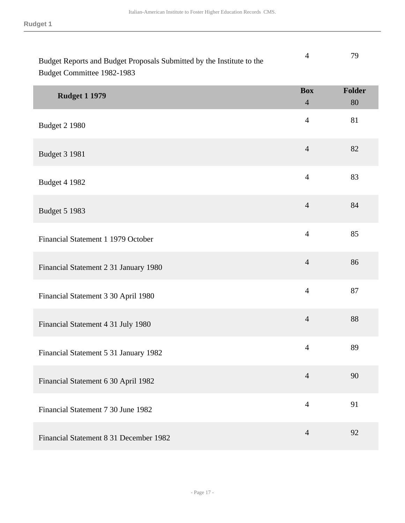| Budget Reports and Budget Proposals Submitted by the Institute to the | 79 |
|-----------------------------------------------------------------------|----|
| Budget Committee 1982-1983                                            |    |

| <b>Rudget 1 1979</b>                   | <b>Box</b><br>$\overline{4}$ | Folder<br>80 |
|----------------------------------------|------------------------------|--------------|
| <b>Budget 2 1980</b>                   | $\overline{4}$               | 81           |
| <b>Budget 3 1981</b>                   | $\overline{4}$               | 82           |
| <b>Budget 4 1982</b>                   | $\overline{4}$               | 83           |
| <b>Budget 5 1983</b>                   | $\overline{4}$               | 84           |
| Financial Statement 1 1979 October     | $\overline{4}$               | 85           |
| Financial Statement 2 31 January 1980  | $\overline{4}$               | 86           |
| Financial Statement 3 30 April 1980    | $\overline{4}$               | 87           |
| Financial Statement 4 31 July 1980     | $\overline{4}$               | 88           |
| Financial Statement 5 31 January 1982  | $\overline{4}$               | 89           |
| Financial Statement 6 30 April 1982    | $\overline{4}$               | 90           |
| Financial Statement 7 30 June 1982     | $\overline{4}$               | 91           |
| Financial Statement 8 31 December 1982 | $\overline{4}$               | 92           |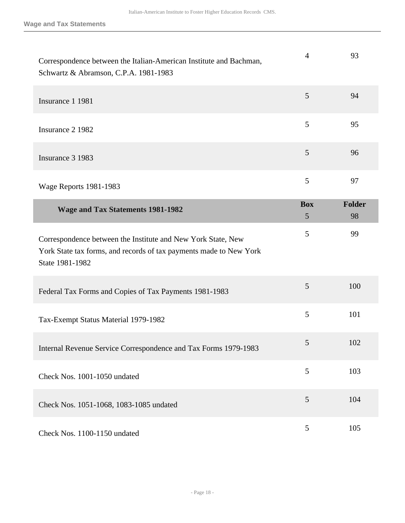| Correspondence between the Italian-American Institute and Bachman,<br>Schwartz & Abramson, C.P.A. 1981-1983                                           | $\overline{4}$  | 93                  |
|-------------------------------------------------------------------------------------------------------------------------------------------------------|-----------------|---------------------|
| Insurance 1 1981                                                                                                                                      | 5               | 94                  |
| Insurance 2 1982                                                                                                                                      | 5               | 95                  |
| Insurance 3 1983                                                                                                                                      | 5               | 96                  |
| Wage Reports 1981-1983                                                                                                                                | 5               | 97                  |
| <b>Wage and Tax Statements 1981-1982</b>                                                                                                              | <b>Box</b><br>5 | <b>Folder</b><br>98 |
| Correspondence between the Institute and New York State, New<br>York State tax forms, and records of tax payments made to New York<br>State 1981-1982 | 5               | 99                  |
| Federal Tax Forms and Copies of Tax Payments 1981-1983                                                                                                | 5               | 100                 |
| Tax-Exempt Status Material 1979-1982                                                                                                                  | 5               | 101                 |
| Internal Revenue Service Correspondence and Tax Forms 1979-1983                                                                                       | 5               | 102                 |
| Check Nos. 1001-1050 undated                                                                                                                          | 5               | 103                 |
| Check Nos. 1051-1068, 1083-1085 undated                                                                                                               | 5               | 104                 |
| Check Nos. 1100-1150 undated                                                                                                                          | 5               | 105                 |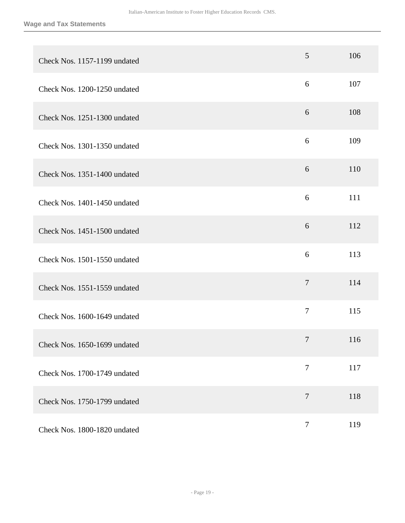| Check Nos. 1157-1199 undated | 5              | 106 |
|------------------------------|----------------|-----|
| Check Nos. 1200-1250 undated | 6              | 107 |
| Check Nos. 1251-1300 undated | 6              | 108 |
| Check Nos. 1301-1350 undated | 6              | 109 |
| Check Nos. 1351-1400 undated | 6              | 110 |
| Check Nos. 1401-1450 undated | 6              | 111 |
| Check Nos. 1451-1500 undated | 6              | 112 |
| Check Nos. 1501-1550 undated | 6              | 113 |
| Check Nos. 1551-1559 undated | $\overline{7}$ | 114 |
| Check Nos. 1600-1649 undated | $\overline{7}$ | 115 |
| Check Nos. 1650-1699 undated | $\tau$         | 116 |
| Check Nos. 1700-1749 undated | $\tau$         | 117 |
| Check Nos. 1750-1799 undated | $\overline{7}$ | 118 |
| Check Nos. 1800-1820 undated | $\overline{7}$ | 119 |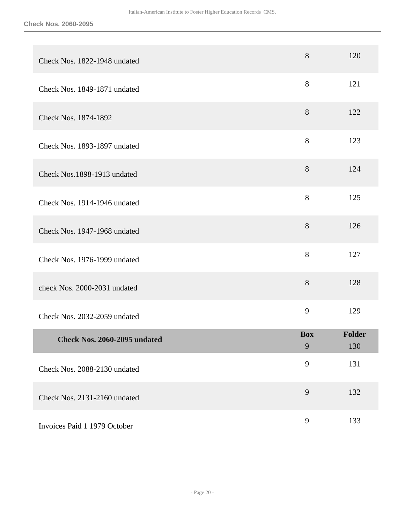| Check Nos. 1822-1948 undated | 8               | 120           |
|------------------------------|-----------------|---------------|
| Check Nos. 1849-1871 undated | 8               | 121           |
| Check Nos. 1874-1892         | 8               | 122           |
| Check Nos. 1893-1897 undated | 8               | 123           |
| Check Nos.1898-1913 undated  | 8               | 124           |
| Check Nos. 1914-1946 undated | 8               | 125           |
| Check Nos. 1947-1968 undated | 8               | 126           |
| Check Nos. 1976-1999 undated | $8\,$           | 127           |
| check Nos. 2000-2031 undated | 8               | 128           |
| Check Nos. 2032-2059 undated | 9               | 129           |
| Check Nos. 2060-2095 undated | <b>Box</b><br>9 | Folder<br>130 |
| Check Nos. 2088-2130 undated | 9               | 131           |
| Check Nos. 2131-2160 undated | 9               | 132           |
| Invoices Paid 1 1979 October | 9               | 133           |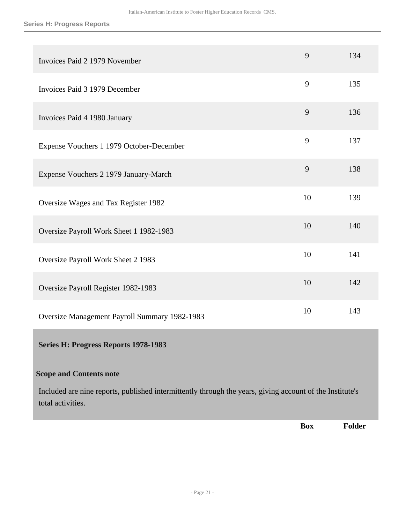#### **Series H: Progress Reports**

| Invoices Paid 2 1979 November                 | 9  | 134 |
|-----------------------------------------------|----|-----|
| Invoices Paid 3 1979 December                 | 9  | 135 |
| Invoices Paid 4 1980 January                  | 9  | 136 |
| Expense Vouchers 1 1979 October-December      | 9  | 137 |
| Expense Vouchers 2 1979 January-March         | 9  | 138 |
| Oversize Wages and Tax Register 1982          | 10 | 139 |
| Oversize Payroll Work Sheet 1 1982-1983       | 10 | 140 |
| Oversize Payroll Work Sheet 2 1983            | 10 | 141 |
| Oversize Payroll Register 1982-1983           | 10 | 142 |
| Oversize Management Payroll Summary 1982-1983 | 10 | 143 |
| <b>Series H: Progress Reports 1978-1983</b>   |    |     |

## **Scope and Contents note**

Included are nine reports, published intermittently through the years, giving account of the Institute's total activities.

**Box Folder**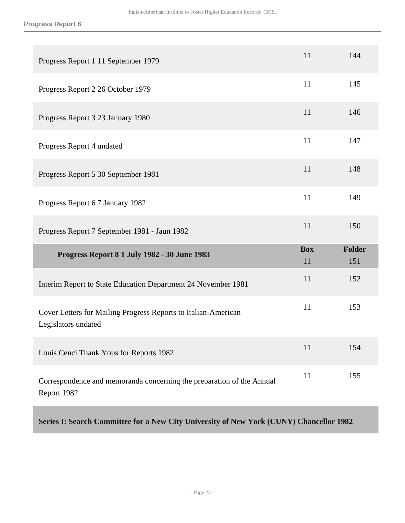| Progress Report 1 11 September 1979                                                   | 11               | 144                  |
|---------------------------------------------------------------------------------------|------------------|----------------------|
| Progress Report 2 26 October 1979                                                     | 11               | 145                  |
| Progress Report 3 23 January 1980                                                     | 11               | 146                  |
| Progress Report 4 undated                                                             | 11               | 147                  |
| Progress Report 5 30 September 1981                                                   | 11               | 148                  |
| Progress Report 6 7 January 1982                                                      | 11               | 149                  |
|                                                                                       |                  |                      |
| Progress Report 7 September 1981 - Jaun 1982                                          | 11               | 150                  |
| <b>Progress Report 8 1 July 1982 - 30 June 1983</b>                                   | <b>Box</b><br>11 | <b>Folder</b><br>151 |
| Interim Report to State Education Department 24 November 1981                         | 11               | 152                  |
| Cover Letters for Mailing Progress Reports to Italian-American<br>Legislators undated | 11               | 153                  |
| Louis Cenci Thank Yous for Reports 1982                                               | 11               | 154                  |

**Series I: Search Committee for a New City University of New York (CUNY) Chancellor 1982**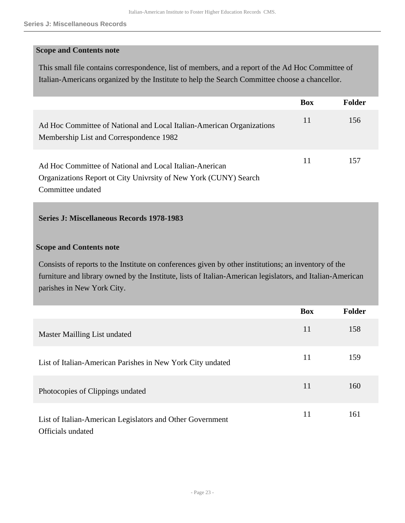## **Scope and Contents note**

This small file contains correspondence, list of members, and a report of the Ad Hoc Committee of Italian-Americans organized by the Institute to help the Search Committee choose a chancellor.

|                                                                                                                             | <b>Box</b> | Folder |
|-----------------------------------------------------------------------------------------------------------------------------|------------|--------|
| Ad Hoc Committee of National and Local Italian-American Organizations<br>Membership List and Correspondence 1982            | 11         | 156    |
| Ad Hoc Committee of National and Local Italian-Anerican<br>Organizations Report ot City Univrsity of New York (CUNY) Search | 11         | 157    |
| Committee undated                                                                                                           |            |        |

## **Series J: Miscellaneous Records 1978-1983**

## **Scope and Contents note**

Consists of reports to the Institute on conferences given by other institutions; an inventory of the furniture and library owned by the Institute, lists of Italian-American legislators, and Italian-American parishes in New York City.

|                                                                                | <b>Box</b> | <b>Folder</b> |
|--------------------------------------------------------------------------------|------------|---------------|
| Master Mailling List undated                                                   | 11         | 158           |
| List of Italian-American Parishes in New York City undated                     | 11         | 159           |
| Photocopies of Clippings undated                                               | 11         | 160           |
| List of Italian-American Legislators and Other Government<br>Officials undated | 11         | 161           |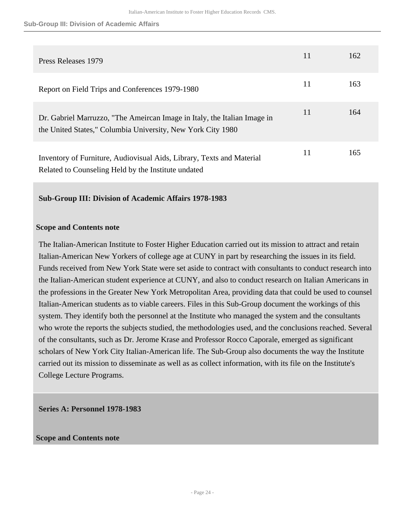#### **Sub-Group III: Division of Academic Affairs**

| Press Releases 1979                                                                                                                     | 11 | 162 |
|-----------------------------------------------------------------------------------------------------------------------------------------|----|-----|
| Report on Field Trips and Conferences 1979-1980                                                                                         | 11 | 163 |
| Dr. Gabriel Marruzzo, "The Ameircan Image in Italy, the Italian Image in<br>the United States," Columbia University, New York City 1980 | 11 | 164 |
| Inventory of Furniture, Audiovisual Aids, Library, Texts and Material<br>Related to Counseling Held by the Institute undated            | 11 | 165 |

## **Sub-Group III: Division of Academic Affairs 1978-1983**

#### **Scope and Contents note**

The Italian-American Institute to Foster Higher Education carried out its mission to attract and retain Italian-American New Yorkers of college age at CUNY in part by researching the issues in its field. Funds received from New York State were set aside to contract with consultants to conduct research into the Italian-American student experience at CUNY, and also to conduct research on Italian Americans in the professions in the Greater New York Metropolitan Area, providing data that could be used to counsel Italian-American students as to viable careers. Files in this Sub-Group document the workings of this system. They identify both the personnel at the Institute who managed the system and the consultants who wrote the reports the subjects studied, the methodologies used, and the conclusions reached. Several of the consultants, such as Dr. Jerome Krase and Professor Rocco Caporale, emerged as significant scholars of New York City Italian-American life. The Sub-Group also documents the way the Institute carried out its mission to disseminate as well as as collect information, with its file on the Institute's College Lecture Programs.

## **Series A: Personnel 1978-1983**

#### **Scope and Contents note**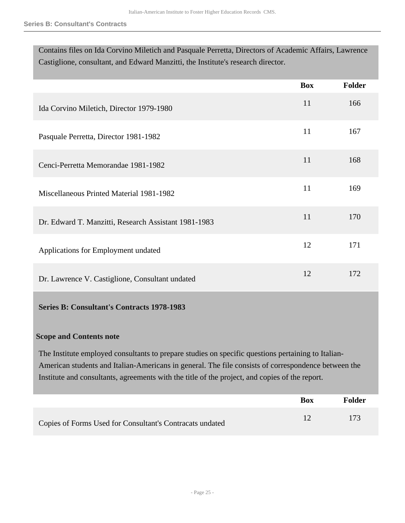| Contains files on Ida Corvino Miletich and Pasquale Perretta, Directors of Academic Affairs, Lawrence |
|-------------------------------------------------------------------------------------------------------|
| Castiglione, consultant, and Edward Manzitti, the Institute's research director.                      |

|                                                      | <b>Box</b> | <b>Folder</b> |
|------------------------------------------------------|------------|---------------|
| Ida Corvino Miletich, Director 1979-1980             | 11         | 166           |
| Pasquale Perretta, Director 1981-1982                | 11         | 167           |
| Cenci-Perretta Memorandae 1981-1982                  | 11         | 168           |
| Miscellaneous Printed Material 1981-1982             | 11         | 169           |
| Dr. Edward T. Manzitti, Research Assistant 1981-1983 | 11         | 170           |
| Applications for Employment undated                  | 12         | 171           |
| Dr. Lawrence V. Castiglione, Consultant undated      | 12         | 172           |

## **Series B: Consultant's Contracts 1978-1983**

## **Scope and Contents note**

The Institute employed consultants to prepare studies on specific questions pertaining to Italian-American students and Italian-Americans in general. The file consists of correspondence between the Institute and consultants, agreements with the title of the project, and copies of the report.

|                                                          | <b>Box</b> | Folder |
|----------------------------------------------------------|------------|--------|
| Copies of Forms Used for Consultant's Contracats undated |            | 173    |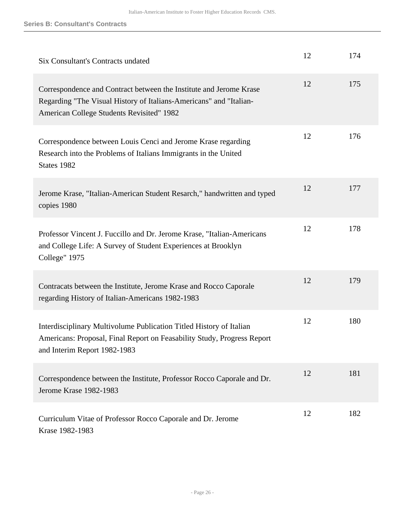| Six Consultant's Contracts undated                                                                                                                                                    | 12 | 174 |
|---------------------------------------------------------------------------------------------------------------------------------------------------------------------------------------|----|-----|
| Correspondence and Contract between the Institute and Jerome Krase<br>Regarding "The Visual History of Italians-Americans" and "Italian-<br>American College Students Revisited" 1982 | 12 | 175 |
| Correspondence between Louis Cenci and Jerome Krase regarding<br>Research into the Problems of Italians Immigrants in the United<br>States 1982                                       | 12 | 176 |
| Jerome Krase, "Italian-American Student Resarch," handwritten and typed<br>copies 1980                                                                                                | 12 | 177 |
| Professor Vincent J. Fuccillo and Dr. Jerome Krase, "Italian-Americans<br>and College Life: A Survey of Student Experiences at Brooklyn<br>College" 1975                              | 12 | 178 |
| Contracats between the Institute, Jerome Krase and Rocco Caporale<br>regarding History of Italian-Americans 1982-1983                                                                 | 12 | 179 |
| Interdisciplinary Multivolume Publication Titled History of Italian<br>Americans: Proposal, Final Report on Feasability Study, Progress Report<br>and Interim Report 1982-1983        | 12 | 180 |
| Correspondence between the Institute, Professor Rocco Caporale and Dr.<br>Jerome Krase 1982-1983                                                                                      | 12 | 181 |
| Curriculum Vitae of Professor Rocco Caporale and Dr. Jerome<br>Krase 1982-1983                                                                                                        | 12 | 182 |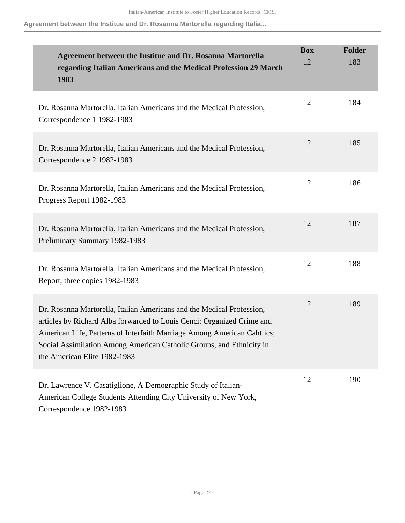**Agreement between the Institue and Dr. Rosanna Martorella regarding Italia...**

| Agreement between the Institue and Dr. Rosanna Martorella<br>regarding Italian Americans and the Medical Profession 29 March<br>1983                                                                                                                                                                                               | <b>Box</b><br>12 | <b>Folder</b><br>183 |
|------------------------------------------------------------------------------------------------------------------------------------------------------------------------------------------------------------------------------------------------------------------------------------------------------------------------------------|------------------|----------------------|
| Dr. Rosanna Martorella, Italian Americans and the Medical Profession,<br>Correspondence 1 1982-1983                                                                                                                                                                                                                                | 12               | 184                  |
| Dr. Rosanna Martorella, Italian Americans and the Medical Profession,<br>Correspondence 2 1982-1983                                                                                                                                                                                                                                | 12               | 185                  |
| Dr. Rosanna Martorella, Italian Americans and the Medical Profession,<br>Progress Report 1982-1983                                                                                                                                                                                                                                 | 12               | 186                  |
| Dr. Rosanna Martorella, Italian Americans and the Medical Profession,<br>Preliminary Summary 1982-1983                                                                                                                                                                                                                             | 12               | 187                  |
| Dr. Rosanna Martorella, Italian Americans and the Medical Profession,<br>Report, three copies 1982-1983                                                                                                                                                                                                                            | 12               | 188                  |
| Dr. Rosanna Martorella, Italian Americans and the Medical Profession,<br>articles by Richard Alba forwarded to Louis Cenci: Organized Crime and<br>American Life, Patterns of Interfaith Marriage Among American Cahtlics;<br>Social Assimilation Among American Catholic Groups, and Ethnicity in<br>the American Elite 1982-1983 | 12               | 189                  |
| Dr. Lawrence V. Casatiglione, A Demographic Study of Italian-<br>American College Students Attending City University of New York,<br>Correspondence 1982-1983                                                                                                                                                                      | 12               | 190                  |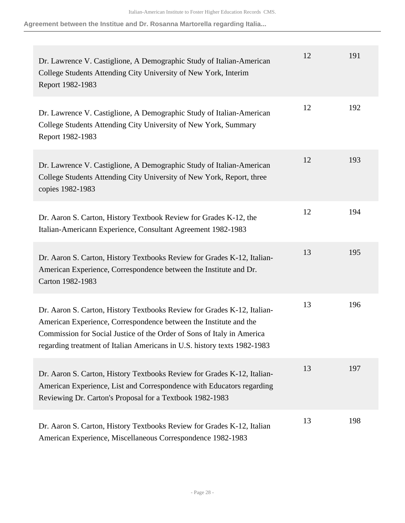**Agreement between the Institue and Dr. Rosanna Martorella regarding Italia...**

| Dr. Lawrence V. Castiglione, A Demographic Study of Italian-American<br>College Students Attending City University of New York, Interim<br>Report 1982-1983                                                                                                                                        | 12 | 191 |
|----------------------------------------------------------------------------------------------------------------------------------------------------------------------------------------------------------------------------------------------------------------------------------------------------|----|-----|
| Dr. Lawrence V. Castiglione, A Demographic Study of Italian-American<br>College Students Attending City University of New York, Summary<br>Report 1982-1983                                                                                                                                        | 12 | 192 |
| Dr. Lawrence V. Castiglione, A Demographic Study of Italian-American<br>College Students Attending City University of New York, Report, three<br>copies 1982-1983                                                                                                                                  | 12 | 193 |
| Dr. Aaron S. Carton, History Textbook Review for Grades K-12, the<br>Italian-Americann Experience, Consultant Agreement 1982-1983                                                                                                                                                                  | 12 | 194 |
| Dr. Aaron S. Carton, History Textbooks Review for Grades K-12, Italian-<br>American Experience, Correspondence between the Institute and Dr.<br>Carton 1982-1983                                                                                                                                   | 13 | 195 |
| Dr. Aaron S. Carton, History Textbooks Review for Grades K-12, Italian-<br>American Experience, Correspondence between the Institute and the<br>Commission for Social Justice of the Order of Sons of Italy in America<br>regarding treatment of Italian Americans in U.S. history texts 1982-1983 | 13 | 196 |
| Dr. Aaron S. Carton, History Textbooks Review for Grades K-12, Italian-<br>American Experience, List and Correspondence with Educators regarding<br>Reviewing Dr. Carton's Proposal for a Textbook 1982-1983                                                                                       | 13 | 197 |
| Dr. Aaron S. Carton, History Textbooks Review for Grades K-12, Italian<br>American Experience, Miscellaneous Correspondence 1982-1983                                                                                                                                                              | 13 | 198 |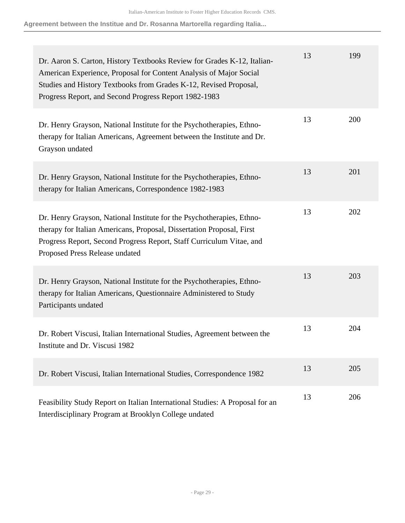**Agreement between the Institue and Dr. Rosanna Martorella regarding Italia...**

| Dr. Aaron S. Carton, History Textbooks Review for Grades K-12, Italian-<br>American Experience, Proposal for Content Analysis of Major Social<br>Studies and History Textbooks from Grades K-12, Revised Proposal,<br>Progress Report, and Second Progress Report 1982-1983 | 13 | 199 |
|-----------------------------------------------------------------------------------------------------------------------------------------------------------------------------------------------------------------------------------------------------------------------------|----|-----|
| Dr. Henry Grayson, National Institute for the Psychotherapies, Ethno-<br>therapy for Italian Americans, Agreement between the Institute and Dr.<br>Grayson undated                                                                                                          | 13 | 200 |
| Dr. Henry Grayson, National Institute for the Psychotherapies, Ethno-<br>therapy for Italian Americans, Correspondence 1982-1983                                                                                                                                            | 13 | 201 |
| Dr. Henry Grayson, National Institute for the Psychotherapies, Ethno-<br>therapy for Italian Americans, Proposal, Dissertation Proposal, First<br>Progress Report, Second Progress Report, Staff Curriculum Vitae, and<br>Proposed Press Release undated                    | 13 | 202 |
| Dr. Henry Grayson, National Institute for the Psychotherapies, Ethno-<br>therapy for Italian Americans, Questionnaire Administered to Study<br>Participants undated                                                                                                         | 13 | 203 |
| Dr. Robert Viscusi, Italian International Studies, Agreement between the<br>Institute and Dr. Viscusi 1982                                                                                                                                                                  | 13 | 204 |
| Dr. Robert Viscusi, Italian International Studies, Correspondence 1982                                                                                                                                                                                                      | 13 | 205 |
| Feasibility Study Report on Italian International Studies: A Proposal for an<br>Interdisciplinary Program at Brooklyn College undated                                                                                                                                       | 13 | 206 |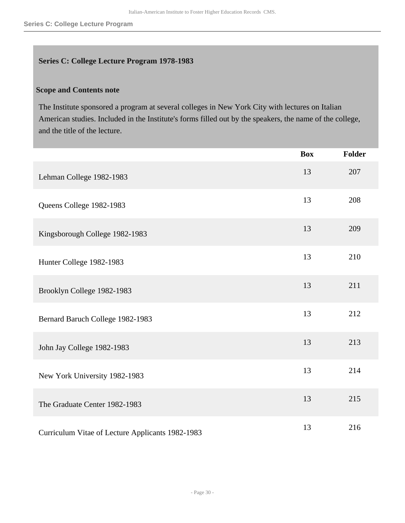## **Series C: College Lecture Program 1978-1983**

## **Scope and Contents note**

The Institute sponsored a program at several colleges in New York City with lectures on Italian American studies. Included in the Institute's forms filled out by the speakers, the name of the college, and the title of the lecture.

|                                                  | <b>Box</b> | <b>Folder</b> |
|--------------------------------------------------|------------|---------------|
| Lehman College 1982-1983                         | 13         | 207           |
| Queens College 1982-1983                         | 13         | 208           |
| Kingsborough College 1982-1983                   | 13         | 209           |
| Hunter College 1982-1983                         | 13         | 210           |
| Brooklyn College 1982-1983                       | 13         | 211           |
| Bernard Baruch College 1982-1983                 | 13         | 212           |
| John Jay College 1982-1983                       | 13         | 213           |
| New York University 1982-1983                    | 13         | 214           |
| The Graduate Center 1982-1983                    | 13         | 215           |
| Curriculum Vitae of Lecture Applicants 1982-1983 | 13         | 216           |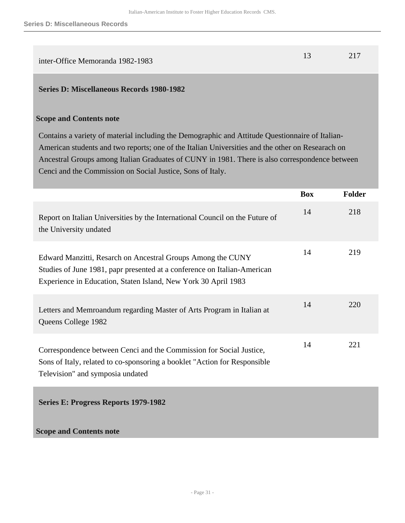| inter-Office Memoranda 1982-1983 |  |
|----------------------------------|--|
|                                  |  |

### **Series D: Miscellaneous Records 1980-1982**

#### **Scope and Contents note**

Contains a variety of material including the Demographic and Attitude Questionnaire of Italian-American students and two reports; one of the Italian Universities and the other on Researach on Ancestral Groups among Italian Graduates of CUNY in 1981. There is also correspondence between Cenci and the Commission on Social Justice, Sons of Italy.

|                                                                                                                                                                                                           | <b>Box</b> | <b>Folder</b> |
|-----------------------------------------------------------------------------------------------------------------------------------------------------------------------------------------------------------|------------|---------------|
| Report on Italian Universities by the International Council on the Future of<br>the University undated                                                                                                    | 14         | 218           |
| Edward Manzitti, Resarch on Ancestral Groups Among the CUNY<br>Studies of June 1981, papr presented at a conference on Italian-American<br>Experience in Education, Staten Island, New York 30 April 1983 | 14         | 219           |
| Letters and Memroandum regarding Master of Arts Program in Italian at<br>Queens College 1982                                                                                                              | 14         | 220           |
| Correspondence between Cenci and the Commission for Social Justice,<br>Sons of Italy, related to co-sponsoring a booklet "Action for Responsible"<br>Television" and symposia undated                     | 14         | 221           |
| Series E: Progress Reports 1979-1982                                                                                                                                                                      |            |               |
| <b>Scope and Contents note</b>                                                                                                                                                                            |            |               |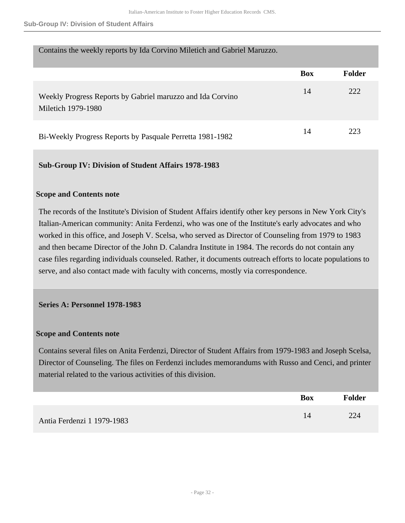#### **Sub-Group IV: Division of Student Affairs**

| Contains the weekly reports by Ida Corvino Miletich and Gabriel Maruzzo.         |            |               |
|----------------------------------------------------------------------------------|------------|---------------|
|                                                                                  | <b>Box</b> | <b>Folder</b> |
| Weekly Progress Reports by Gabriel maruzzo and Ida Corvino<br>Miletich 1979-1980 | 14         | 222           |
| Bi-Weekly Progress Reports by Pasquale Perretta 1981-1982                        | 14         | 223           |

## **Sub-Group IV: Division of Student Affairs 1978-1983**

## **Scope and Contents note**

The records of the Institute's Division of Student Affairs identify other key persons in New York City's Italian-American community: Anita Ferdenzi, who was one of the Institute's early advocates and who worked in this office, and Joseph V. Scelsa, who served as Director of Counseling from 1979 to 1983 and then became Director of the John D. Calandra Institute in 1984. The records do not contain any case files regarding individuals counseled. Rather, it documents outreach efforts to locate populations to serve, and also contact made with faculty with concerns, mostly via correspondence.

## **Series A: Personnel 1978-1983**

## **Scope and Contents note**

Contains several files on Anita Ferdenzi, Director of Student Affairs from 1979-1983 and Joseph Scelsa, Director of Counseling. The files on Ferdenzi includes memorandums with Russo and Cenci, and printer material related to the various activities of this division.

|                            | <b>Box</b> | <b>Folder</b> |
|----------------------------|------------|---------------|
| Antia Ferdenzi 1 1979-1983 |            | 224           |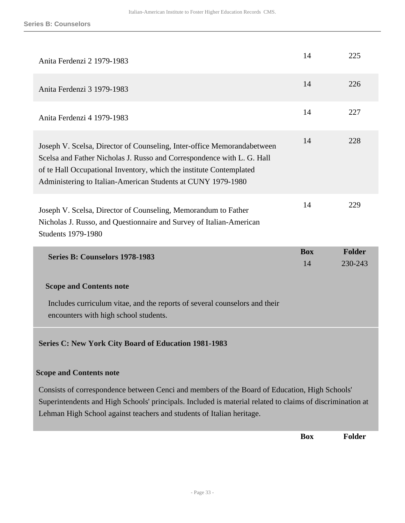| Anita Ferdenzi 2 1979-1983                                                                                                                                                                                                                                                               | 14               | 225                      |
|------------------------------------------------------------------------------------------------------------------------------------------------------------------------------------------------------------------------------------------------------------------------------------------|------------------|--------------------------|
| Anita Ferdenzi 3 1979-1983                                                                                                                                                                                                                                                               | 14               | 226                      |
| Anita Ferdenzi 4 1979-1983                                                                                                                                                                                                                                                               | 14               | 227                      |
| Joseph V. Scelsa, Director of Counseling, Inter-office Memorandabetween<br>Scelsa and Father Nicholas J. Russo and Correspondence with L. G. Hall<br>of te Hall Occupational Inventory, which the institute Contemplated<br>Administering to Italian-American Students at CUNY 1979-1980 | 14               | 228                      |
| Joseph V. Scelsa, Director of Counseling, Memorandum to Father<br>Nicholas J. Russo, and Questionnaire and Survey of Italian-American<br><b>Students 1979-1980</b>                                                                                                                       | 14               | 229                      |
|                                                                                                                                                                                                                                                                                          |                  |                          |
| Series B: Counselors 1978-1983                                                                                                                                                                                                                                                           | <b>Box</b><br>14 | <b>Folder</b><br>230-243 |
| <b>Scope and Contents note</b>                                                                                                                                                                                                                                                           |                  |                          |
| Includes curriculum vitae, and the reports of several counselors and their<br>encounters with high school students.                                                                                                                                                                      |                  |                          |
| <b>Series C: New York City Board of Education 1981-1983</b>                                                                                                                                                                                                                              |                  |                          |
| <b>Scope and Contents note</b>                                                                                                                                                                                                                                                           |                  |                          |
| Consists of correspondence between Cenci and members of the Board of Education, High Schools'<br>Superintendents and High Schools' principals. Included is material related to claims of discrimination at<br>Lehman High School against teachers and students of Italian heritage.      |                  |                          |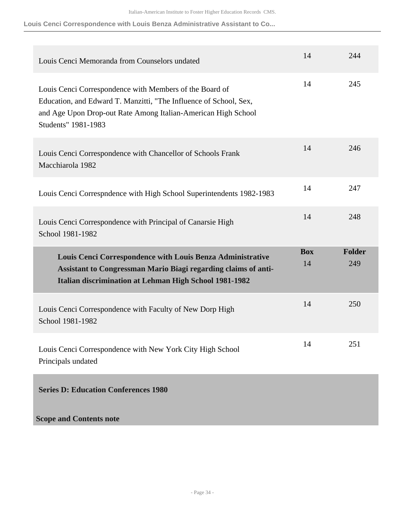**Louis Cenci Correspondence with Louis Benza Administrative Assistant to Co...**

| Louis Cenci Memoranda from Counselors undated                                                                                                                                                                        | 14               | 244                  |
|----------------------------------------------------------------------------------------------------------------------------------------------------------------------------------------------------------------------|------------------|----------------------|
| Louis Cenci Correspondence with Members of the Board of<br>Education, and Edward T. Manzitti, "The Influence of School, Sex,<br>and Age Upon Drop-out Rate Among Italian-American High School<br>Students" 1981-1983 | 14               | 245                  |
| Louis Cenci Correspondence with Chancellor of Schools Frank<br>Macchiarola 1982                                                                                                                                      | 14               | 246                  |
| Louis Cenci Correspndence with High School Superintendents 1982-1983                                                                                                                                                 | 14               | 247                  |
| Louis Cenci Correspondence with Principal of Canarsie High<br>School 1981-1982                                                                                                                                       | 14               | 248                  |
|                                                                                                                                                                                                                      |                  |                      |
| Louis Cenci Correspondence with Louis Benza Administrative<br>Assistant to Congressman Mario Biagi regarding claims of anti-<br><b>Italian discrimination at Lehman High School 1981-1982</b>                        | <b>Box</b><br>14 | <b>Folder</b><br>249 |
| Louis Cenci Correspondence with Faculty of New Dorp High<br>School 1981-1982                                                                                                                                         | 14               | 250                  |
| Louis Cenci Correspondence with New York City High School<br>Principals undated                                                                                                                                      | 14               | 251                  |
| <b>Series D: Education Conferences 1980</b>                                                                                                                                                                          |                  |                      |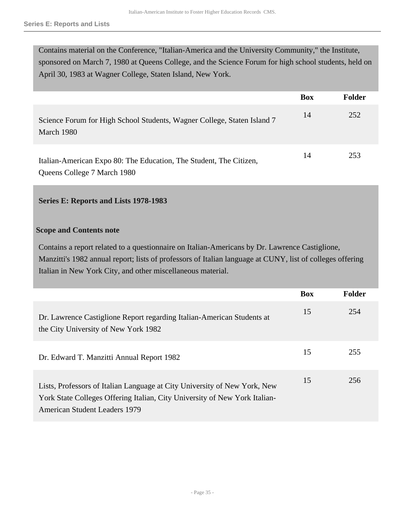Contains material on the Conference, "Italian-America and the University Community," the Institute, sponsored on March 7, 1980 at Queens College, and the Science Forum for high school students, held on April 30, 1983 at Wagner College, Staten Island, New York.

|                                                                                                   | <b>Box</b> | <b>Folder</b> |
|---------------------------------------------------------------------------------------------------|------------|---------------|
| Science Forum for High School Students, Wagner College, Staten Island 7<br>March 1980             | 14         | 252           |
| Italian-American Expo 80: The Education, The Student, The Citizen,<br>Queens College 7 March 1980 | 14         | 253           |

## **Series E: Reports and Lists 1978-1983**

## **Scope and Contents note**

Contains a report related to a questionnaire on Italian-Americans by Dr. Lawrence Castiglione, Manzitti's 1982 annual report; lists of professors of Italian language at CUNY, list of colleges offering Italian in New York City, and other miscellaneous material.

|                                                                                                                                                                                                 | <b>Box</b> | <b>Folder</b> |
|-------------------------------------------------------------------------------------------------------------------------------------------------------------------------------------------------|------------|---------------|
| Dr. Lawrence Castiglione Report regarding Italian-American Students at<br>the City University of New York 1982                                                                                  | 15         | 254           |
| Dr. Edward T. Manzitti Annual Report 1982                                                                                                                                                       | 15         | 255           |
| Lists, Professors of Italian Language at City University of New York, New<br>York State Colleges Offering Italian, City University of New York Italian-<br><b>American Student Leaders 1979</b> | 15         | 256           |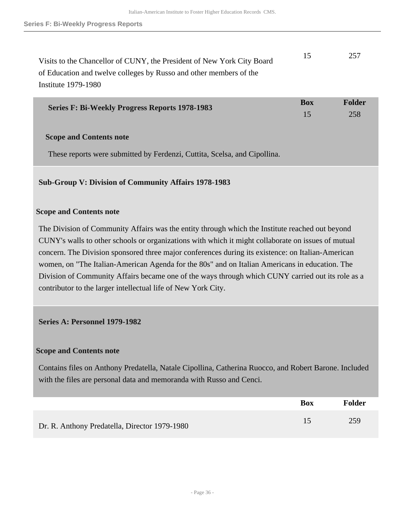| Visits to the Chancellor of CUNY, the President of New York City Board | -15 | 257 |
|------------------------------------------------------------------------|-----|-----|
| of Education and twelve colleges by Russo and other members of the     |     |     |
| Institute 1979-1980                                                    |     |     |

| <b>Series F: Bi-Weekly Progress Reports 1978-1983</b> | Box | Folder |
|-------------------------------------------------------|-----|--------|
|                                                       |     | 258    |

## **Scope and Contents note**

These reports were submitted by Ferdenzi, Cuttita, Scelsa, and Cipollina.

## **Sub-Group V: Division of Community Affairs 1978-1983**

## **Scope and Contents note**

The Division of Community Affairs was the entity through which the Institute reached out beyond CUNY's walls to other schools or organizations with which it might collaborate on issues of mutual concern. The Division sponsored three major conferences during its existence: on Italian-American women, on "The Italian-American Agenda for the 80s" and on Italian Americans in education. The Division of Community Affairs became one of the ways through which CUNY carried out its role as a contributor to the larger intellectual life of New York City.

## **Series A: Personnel 1979-1982**

## **Scope and Contents note**

Contains files on Anthony Predatella, Natale Cipollina, Catherina Ruocco, and Robert Barone. Included with the files are personal data and memoranda with Russo and Cenci.

|                                               | <b>Box</b> | <b>Folder</b> |
|-----------------------------------------------|------------|---------------|
| Dr. R. Anthony Predatella, Director 1979-1980 |            | 259           |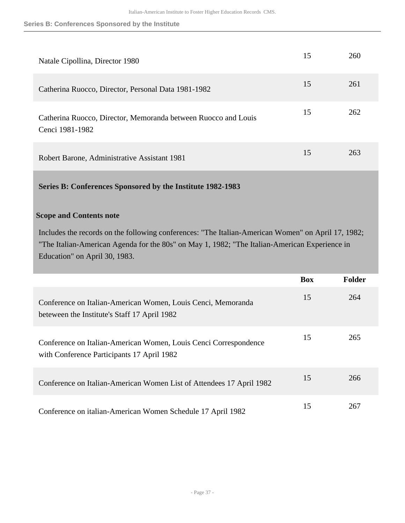**Series B: Conferences Sponsored by the Institute**

| Natale Cipollina, Director 1980                                                   | 15 | 260 |
|-----------------------------------------------------------------------------------|----|-----|
| Catherina Ruocco, Director, Personal Data 1981-1982                               | 15 | 261 |
| Catherina Ruocco, Director, Memoranda between Ruocco and Louis<br>Cenci 1981-1982 | 15 | 262 |
| Robert Barone, Administrative Assistant 1981                                      | 15 | 263 |

## **Series B: Conferences Sponsored by the Institute 1982-1983**

## **Scope and Contents note**

Includes the records on the following conferences: "The Italian-American Women" on April 17, 1982; "The Italian-American Agenda for the 80s" on May 1, 1982; "The Italian-American Experience in Education" on April 30, 1983.

|                                                                                                                | <b>Box</b> | <b>Folder</b> |
|----------------------------------------------------------------------------------------------------------------|------------|---------------|
| Conference on Italian-American Women, Louis Cenci, Memoranda<br>beteween the Institute's Staff 17 April 1982   | 15         | 264           |
| Conference on Italian-American Women, Louis Cenci Correspondence<br>with Conference Participants 17 April 1982 | 15         | 265           |
| Conference on Italian-American Women List of Attendees 17 April 1982                                           | 15         | 266           |
| Conference on italian-American Women Schedule 17 April 1982                                                    | 15         | 267           |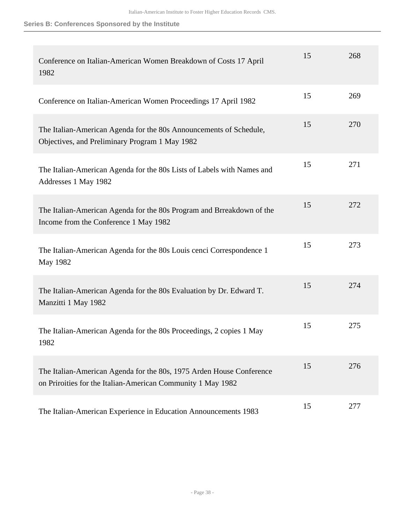## **Series B: Conferences Sponsored by the Institute**

| Conference on Italian-American Women Breakdown of Costs 17 April<br>1982                                                            | 15 | 268 |
|-------------------------------------------------------------------------------------------------------------------------------------|----|-----|
| Conference on Italian-American Women Proceedings 17 April 1982                                                                      | 15 | 269 |
| The Italian-American Agenda for the 80s Announcements of Schedule,<br>Objectives, and Preliminary Program 1 May 1982                | 15 | 270 |
| The Italian-American Agenda for the 80s Lists of Labels with Names and<br>Addresses 1 May 1982                                      | 15 | 271 |
| The Italian-American Agenda for the 80s Program and Brreakdown of the<br>Income from the Conference 1 May 1982                      | 15 | 272 |
| The Italian-American Agenda for the 80s Louis cenci Correspondence 1<br>May 1982                                                    | 15 | 273 |
| The Italian-American Agenda for the 80s Evaluation by Dr. Edward T.<br>Manzitti 1 May 1982                                          | 15 | 274 |
| The Italian-American Agenda for the 80s Proceedings, 2 copies 1 May<br>1982                                                         | 15 | 275 |
| The Italian-American Agenda for the 80s, 1975 Arden House Conference<br>on Priroities for the Italian-American Community 1 May 1982 | 15 | 276 |
| The Italian-American Experience in Education Announcements 1983                                                                     | 15 | 277 |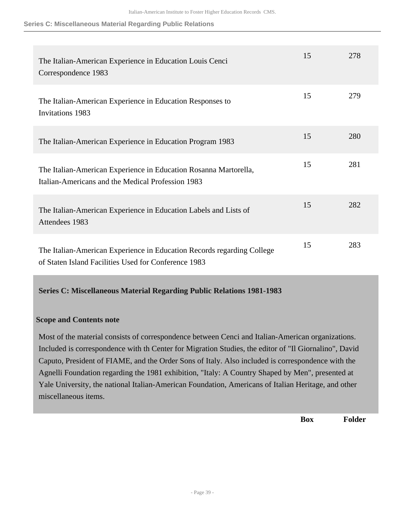#### **Series C: Miscellaneous Material Regarding Public Relations**

| The Italian-American Experience in Education Louis Cenci<br>Correspondence 1983                                                | 15 | 278 |
|--------------------------------------------------------------------------------------------------------------------------------|----|-----|
| The Italian-American Experience in Education Responses to<br><b>Invitations 1983</b>                                           | 15 | 279 |
| The Italian-American Experience in Education Program 1983                                                                      | 15 | 280 |
| The Italian-American Experience in Education Rosanna Martorella,<br>Italian-Americans and the Medical Profession 1983          | 15 | 281 |
| The Italian-American Experience in Education Labels and Lists of<br>Attendees 1983                                             | 15 | 282 |
| The Italian-American Experience in Education Records regarding College<br>of Staten Island Facilities Used for Conference 1983 | 15 | 283 |

**Series C: Miscellaneous Material Regarding Public Relations 1981-1983** 

## **Scope and Contents note**

Most of the material consists of correspondence between Cenci and Italian-American organizations. Included is correspondence with th Center for Migration Studies, the editor of "Il Giornalino", David Caputo, President of FIAME, and the Order Sons of Italy. Also included is correspondence with the Agnelli Foundation regarding the 1981 exhibition, "Italy: A Country Shaped by Men", presented at Yale University, the national Italian-American Foundation, Americans of Italian Heritage, and other miscellaneous items.

**Box Folder**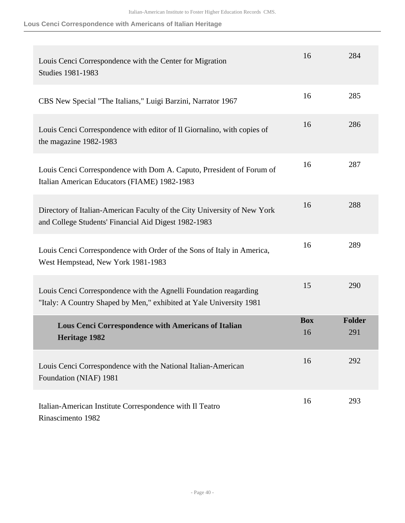**Lous Cenci Correspondence with Americans of Italian Heritage**

| Louis Cenci Correspondence with the Center for Migration<br><b>Studies 1981-1983</b>                                                     | 16               | 284                  |
|------------------------------------------------------------------------------------------------------------------------------------------|------------------|----------------------|
| CBS New Special "The Italians," Luigi Barzini, Narrator 1967                                                                             | 16               | 285                  |
| Louis Cenci Correspondence with editor of Il Giornalino, with copies of<br>the magazine 1982-1983                                        | 16               | 286                  |
| Louis Cenci Correspondence with Dom A. Caputo, Prresident of Forum of<br>Italian American Educators (FIAME) 1982-1983                    | 16               | 287                  |
| Directory of Italian-American Faculty of the City University of New York<br>and College Students' Financial Aid Digest 1982-1983         | 16               | 288                  |
| Louis Cenci Correspondence with Order of the Sons of Italy in America,<br>West Hempstead, New York 1981-1983                             | 16               | 289                  |
| Louis Cenci Correspondence with the Agnelli Foundation reagarding<br>"Italy: A Country Shaped by Men," exhibited at Yale University 1981 | 15               | 290                  |
| Lous Cenci Correspondence with Americans of Italian<br><b>Heritage 1982</b>                                                              | <b>Box</b><br>16 | <b>Folder</b><br>291 |
| Louis Cenci Correspondence with the National Italian-American<br>Foundation (NIAF) 1981                                                  | 16               | 292                  |
| Italian-American Institute Correspondence with Il Teatro<br>Rinascimento 1982                                                            | 16               | 293                  |